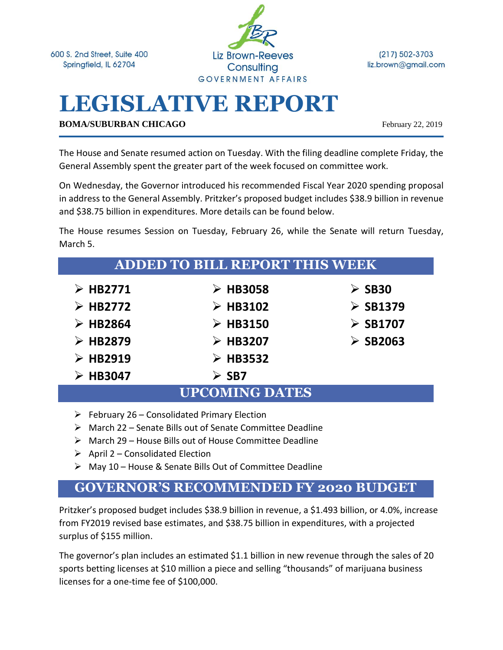600 S. 2nd Street, Suite 400 Springfield, IL 62704



 $(217) 502 - 3703$ liz.brown@gmail.com

# **LEGISLATIVE REPORT**

**BOMA/SUBURBAN CHICAGO** February 22, 2019

The House and Senate resumed action on Tuesday. With the filing deadline complete Friday, the General Assembly spent the greater part of the week focused on committee work.

On Wednesday, the Governor introduced his recommended Fiscal Year 2020 spending proposal in address to the General Assembly. Pritzker's proposed budget includes \$38.9 billion in revenue and \$38.75 billion in expenditures. More details can be found below.

The House resumes Session on Tuesday, February 26, while the Senate will return Tuesday, March 5.

| <b>ADDED TO BILL REPORT THIS WEEK</b> |                         |                         |
|---------------------------------------|-------------------------|-------------------------|
| $\triangleright$ HB2771               | $\triangleright$ HB3058 | $\triangleright$ SB30   |
| $\triangleright$ HB2772               | $\triangleright$ HB3102 | $\triangleright$ SB1379 |
| $\triangleright$ HB2864               | $\triangleright$ HB3150 | $\triangleright$ SB1707 |
| $\triangleright$ HB2879               | $\triangleright$ HB3207 | $\triangleright$ SB2063 |
| $\triangleright$ HB2919               | $\triangleright$ HB3532 |                         |
| $\triangleright$ HB3047               | $\triangleright$ SB7    |                         |
| <b>UPCOMING DATES</b>                 |                         |                         |

- $\triangleright$  February 26 Consolidated Primary Election
- ➢ March 22 Senate Bills out of Senate Committee Deadline
- ➢ March 29 House Bills out of House Committee Deadline
- $\triangleright$  April 2 Consolidated Election
- ➢ May 10 House & Senate Bills Out of Committee Deadline

# **GOVERNOR'S RECOMMENDED FY 2020 BUDGET**

Pritzker's proposed budget includes \$38.9 billion in revenue, a \$1.493 billion, or 4.0%, increase from FY2019 revised base estimates, and \$38.75 billion in expenditures, with a projected surplus of \$155 million.

The governor's plan includes an estimated \$1.1 billion in new revenue through the sales of 20 sports betting licenses at \$10 million a piece and selling "thousands" of marijuana business licenses for a one-time fee of \$100,000.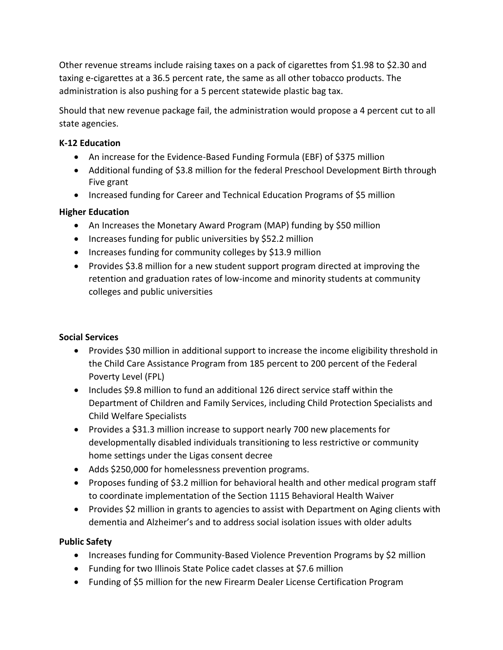Other revenue streams include raising taxes on a pack of cigarettes from \$1.98 to \$2.30 and taxing e-cigarettes at a 36.5 percent rate, the same as all other tobacco products. The administration is also pushing for a 5 percent statewide plastic bag tax.

Should that new revenue package fail, the administration would propose a 4 percent cut to all state agencies.

### **K-12 Education**

- An increase for the Evidence-Based Funding Formula (EBF) of \$375 million
- Additional funding of \$3.8 million for the federal Preschool Development Birth through Five grant
- Increased funding for Career and Technical Education Programs of \$5 million

## **Higher Education**

- An Increases the Monetary Award Program (MAP) funding by \$50 million
- Increases funding for public universities by \$52.2 million
- Increases funding for community colleges by \$13.9 million
- Provides \$3.8 million for a new student support program directed at improving the retention and graduation rates of low-income and minority students at community colleges and public universities

#### **Social Services**

- Provides \$30 million in additional support to increase the income eligibility threshold in the Child Care Assistance Program from 185 percent to 200 percent of the Federal Poverty Level (FPL)
- Includes \$9.8 million to fund an additional 126 direct service staff within the Department of Children and Family Services, including Child Protection Specialists and Child Welfare Specialists
- Provides a \$31.3 million increase to support nearly 700 new placements for developmentally disabled individuals transitioning to less restrictive or community home settings under the Ligas consent decree
- Adds \$250,000 for homelessness prevention programs.
- Proposes funding of \$3.2 million for behavioral health and other medical program staff to coordinate implementation of the Section 1115 Behavioral Health Waiver
- Provides \$2 million in grants to agencies to assist with Department on Aging clients with dementia and Alzheimer's and to address social isolation issues with older adults

# **Public Safety**

- Increases funding for Community-Based Violence Prevention Programs by \$2 million
- Funding for two Illinois State Police cadet classes at \$7.6 million
- Funding of \$5 million for the new Firearm Dealer License Certification Program